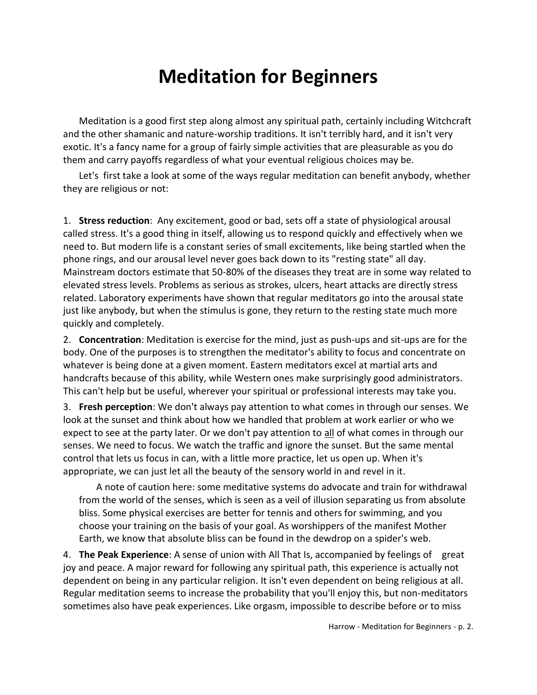## **Meditation for Beginners**

Meditation is a good first step along almost any spiritual path, certainly including Witchcraft and the other shamanic and nature-worship traditions. It isn't terribly hard, and it isn't very exotic. It's a fancy name for a group of fairly simple activities that are pleasurable as you do them and carry payoffs regardless of what your eventual religious choices may be.

Let's first take a look at some of the ways regular meditation can benefit anybody, whether they are religious or not:

1. **Stress reduction**: Any excitement, good or bad, sets off a state of physiological arousal called stress. It's a good thing in itself, allowing us to respond quickly and effectively when we need to. But modern life is a constant series of small excitements, like being startled when the phone rings, and our arousal level never goes back down to its "resting state" all day. Mainstream doctors estimate that 50-80% of the diseases they treat are in some way related to elevated stress levels. Problems as serious as strokes, ulcers, heart attacks are directly stress related. Laboratory experiments have shown that regular meditators go into the arousal state just like anybody, but when the stimulus is gone, they return to the resting state much more quickly and completely.

2. **Concentration**: Meditation is exercise for the mind, just as push-ups and sit-ups are for the body. One of the purposes is to strengthen the meditator's ability to focus and concentrate on whatever is being done at a given moment. Eastern meditators excel at martial arts and handcrafts because of this ability, while Western ones make surprisingly good administrators. This can't help but be useful, wherever your spiritual or professional interests may take you.

3. **Fresh perception**: We don't always pay attention to what comes in through our senses. We look at the sunset and think about how we handled that problem at work earlier or who we expect to see at the party later. Or we don't pay attention to all of what comes in through our senses. We need to focus. We watch the traffic and ignore the sunset. But the same mental control that lets us focus in can, with a little more practice, let us open up. When it's appropriate, we can just let all the beauty of the sensory world in and revel in it.

A note of caution here: some meditative systems do advocate and train for withdrawal from the world of the senses, which is seen as a veil of illusion separating us from absolute bliss. Some physical exercises are better for tennis and others for swimming, and you choose your training on the basis of your goal. As worshippers of the manifest Mother Earth, we know that absolute bliss can be found in the dewdrop on a spider's web.

4. **The Peak Experience**: A sense of union with All That Is, accompanied by feelings of great joy and peace. A major reward for following any spiritual path, this experience is actually not dependent on being in any particular religion. It isn't even dependent on being religious at all. Regular meditation seems to increase the probability that you'll enjoy this, but non-meditators sometimes also have peak experiences. Like orgasm, impossible to describe before or to miss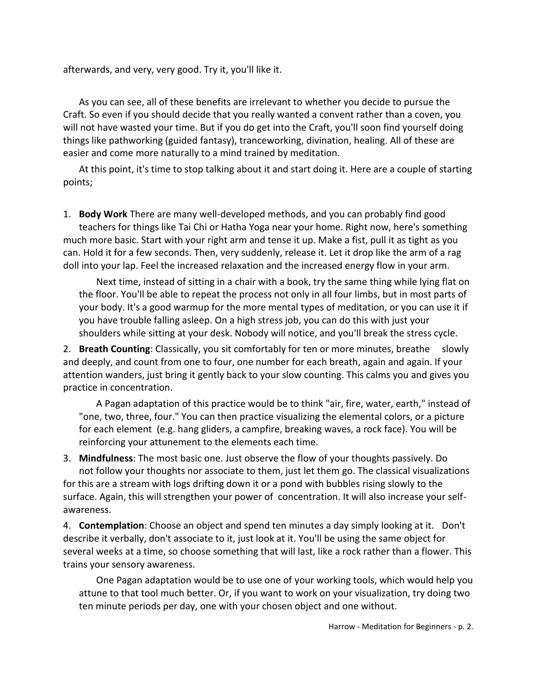afterwards, and very, very good. Try it, you'll like it.

As you can see, all of these benefits are irrelevant to whether you decide to pursue the Craft. So even if you should decide that you really wanted a convent rather than a coven, you will not have wasted your time. But if you do get into the Craft, you'll soon find yourself doing things like pathworking (guided fantasy), tranceworking, divination, healing. All of these are easier and come more naturally to a mind trained by meditation.

At this point, it's time to stop talking about it and start doing it. Here are a couple of starting points;

1. **Body Work** There are many well-developed methods, and you can probably find good teachers for things like Tai Chi or Hatha Yoga near your home. Right now, here's something much more basic. Start with your right arm and tense it up. Make a fist, pull it as tight as you can. Hold it for a few seconds. Then, very suddenly, release it. Let it drop like the arm of a rag doll into your lap. Feel the increased relaxation and the increased energy flow in your arm.

Next time, instead of sitting in a chair with a book, try the same thing while lying flat on the floor. You'll be able to repeat the process not only in all four limbs, but in most parts of your body. It's a good warmup for the more mental types of meditation, or you can use it if you have trouble falling asleep. On a high stress job, you can do this with just your shoulders while sitting at your desk. Nobody will notice, and you'll break the stress cycle.

2. **Breath Counting**: Classically, you sit comfortably for ten or more minutes, breathe slowly and deeply, and count from one to four, one number for each breath, again and again. If your attention wanders, just bring it gently back to your slow counting. This calms you and gives you practice in concentration.

A Pagan adaptation of this practice would be to think "air, fire, water, earth," instead of "one, two, three, four." You can then practice visualizing the elemental colors, or a picture for each element (e.g. hang gliders, a campfire, breaking waves, a rock face). You will be reinforcing your attunement to the elements each time.

3. **Mindfulness**: The most basic one. Just observe the flow of your thoughts passively. Do not follow your thoughts nor associate to them, just let them go. The classical visualizations for this are a stream with logs drifting down it or a pond with bubbles rising slowly to the surface. Again, this will strengthen your power of concentration. It will also increase your selfawareness.

4. **Contemplation**: Choose an object and spend ten minutes a day simply looking at it. Don't describe it verbally, don't associate to it, just look at it. You'll be using the same object for several weeks at a time, so choose something that will last, like a rock rather than a flower. This trains your sensory awareness.

One Pagan adaptation would be to use one of your working tools, which would help you attune to that tool much better. Or, if you want to work on your visualization, try doing two ten minute periods per day, one with your chosen object and one without.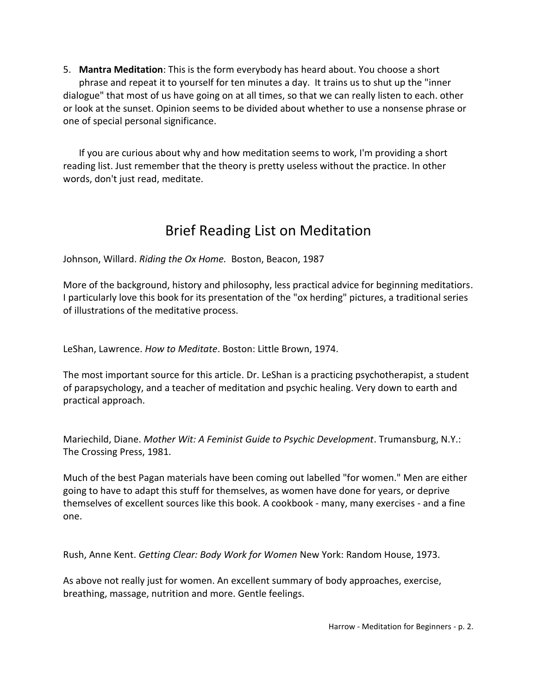5. **Mantra Meditation**: This is the form everybody has heard about. You choose a short phrase and repeat it to yourself for ten minutes a day. It trains us to shut up the "inner dialogue" that most of us have going on at all times, so that we can really listen to each. other or look at the sunset. Opinion seems to be divided about whether to use a nonsense phrase or one of special personal significance.

If you are curious about why and how meditation seems to work, I'm providing a short reading list. Just remember that the theory is pretty useless without the practice. In other words, don't just read, meditate.

## Brief Reading List on Meditation

Johnson, Willard. *Riding the Ox Home.* Boston, Beacon, 1987

More of the background, history and philosophy, less practical advice for beginning meditatiors. I particularly love this book for its presentation of the "ox herding" pictures, a traditional series of illustrations of the meditative process.

LeShan, Lawrence. *How to Meditate*. Boston: Little Brown, 1974.

The most important source for this article. Dr. LeShan is a practicing psychotherapist, a student of parapsychology, and a teacher of meditation and psychic healing. Very down to earth and practical approach.

Mariechild, Diane. *Mother Wit: A Feminist Guide to Psychic Development*. Trumansburg, N.Y.: The Crossing Press, 1981.

Much of the best Pagan materials have been coming out labelled "for women." Men are either going to have to adapt this stuff for themselves, as women have done for years, or deprive themselves of excellent sources like this book. A cookbook - many, many exercises - and a fine one.

Rush, Anne Kent. *Getting Clear: Body Work for Women* New York: Random House, 1973.

As above not really just for women. An excellent summary of body approaches, exercise, breathing, massage, nutrition and more. Gentle feelings.